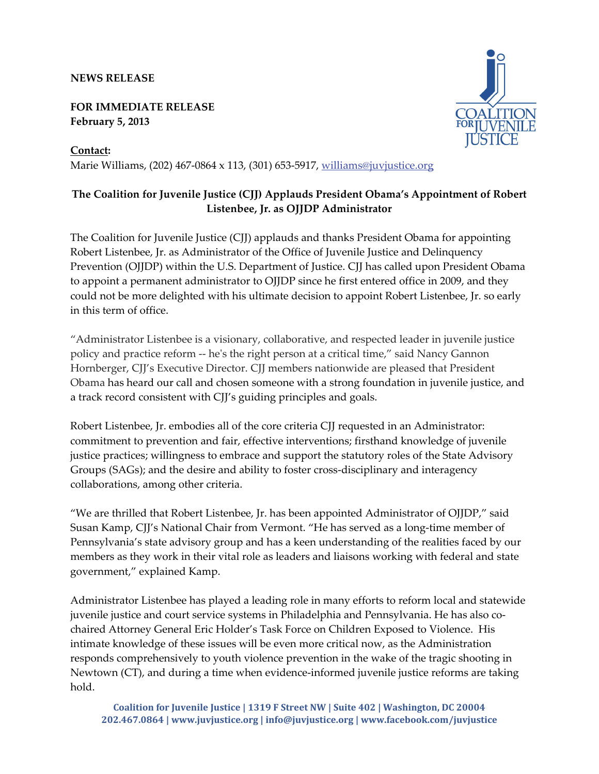## **NEWS RELEASE**

## **FOR IMMEDIATE RELEASE February 5, 2013**

**Contact:**  Marie Williams, (202) 467‐0864 x 113, (301) 653‐5917, [williams@juvjustice.org](mailto:williams@juvjustice.org)



The Coalition for Juvenile Justice (CJJ) applauds and thanks President Obama for appointing Robert Listenbee, Jr. as Administrator of the Office of Juvenile Justice and Delinquency Prevention (OJJDP) within the U.S. Department of Justice. CJJ has called upon President Obama to appoint a permanent administrator to OJJDP since he first entered office in 2009, and they could not be more delighted with his ultimate decision to appoint Robert Listenbee, Jr. so early in this term of office.

"Administrator Listenbee is a visionary, collaborative, and respected leader in juvenile justice policy and practice reform ‐‐ heʹs the right person at a critical time," said Nancy Gannon Hornberger, CJJ's Executive Director. CJJ members nationwide are pleased that President Obama has heard our call and chosen someone with a strong foundation in juvenile justice, and a track record consistent with CJJ's guiding principles and goals.

Robert Listenbee, Jr. embodies all of the core criteria CJJ requested in an Administrator: commitment to prevention and fair, effective interventions; firsthand knowledge of juvenile justice practices; willingness to embrace and support the statutory roles of the State Advisory Groups (SAGs); and the desire and ability to foster cross-disciplinary and interagency collaborations, among other criteria.

"We are thrilled that Robert Listenbee, Jr. has been appointed Administrator of OJJDP," said Susan Kamp, CJJ's National Chair from Vermont. "He has served as a long-time member of Pennsylvania's state advisory group and has a keen understanding of the realities faced by our members as they work in their vital role as leaders and liaisons working with federal and state government," explained Kamp.

Administrator Listenbee has played a leading role in many efforts to reform local and statewide juvenile justice and court service systems in Philadelphia and Pennsylvania. He has also cochaired Attorney General Eric Holder's Task Force on Children Exposed to Violence. His intimate knowledge of these issues will be even more critical now, as the Administration responds comprehensively to youth violence prevention in the wake of the tragic shooting in Newtown (CT), and during a time when evidence‐informed juvenile justice reforms are taking hold.

**Coalition for Juvenile Justice | 1319 F Street NW | Suite 402 | Washington, DC 20004 202.467.0864 | www.juvjustice.org | info@juvjustice.org | www.facebook.com/juvjustice**